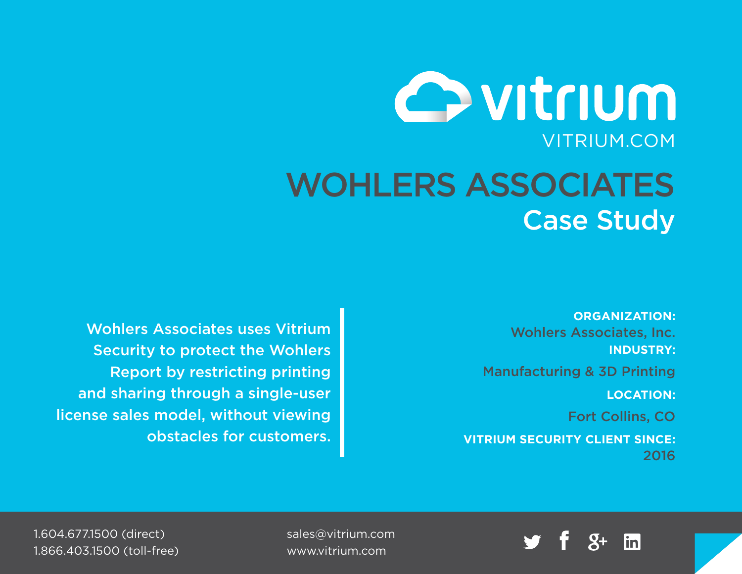# Ovitrium VITRIUM.COM WOHLERS ASSOCIATES Case Study

**ORGANIZATION:** Wohlers Associates, Inc. **INDUSTRY:**

Manufacturing & 3D Printing

**LOCATION:**

Fort Collins, CO

**VITRIUM SECURITY CLIENT SINCE:** 2016

Wohlers Associates uses Vitrium Security to protect the Wohlers Report by restricting printing and sharing through a single-user license sales model, without viewing obstacles for customers.



[sales@vitrium.com](mailto:sales%40vitrium.com?subject=) [www.vitrium.com](http://www.vitrium.com)

1.604.677.1500 (direct) 1.866.403.1500 (toll-free)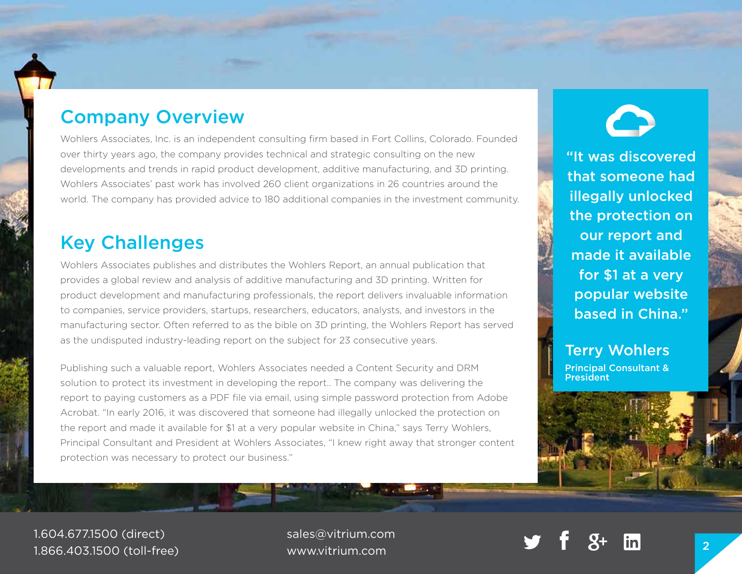## Company Overview

Wohlers Associates, Inc. is an independent consulting firm based in Fort Collins, Colorado. Founded over thirty years ago, the company provides technical and strategic consulting on the new developments and trends in rapid product development, additive manufacturing, and 3D printing. Wohlers Associates' past work has involved 260 client organizations in 26 countries around the world. The company has provided advice to 180 additional companies in the investment community.

## Key Challenges

Wohlers Associates publishes and distributes the Wohlers Report, an annual publication that provides a global review and analysis of additive manufacturing and 3D printing. Written for product development and manufacturing professionals, the report delivers invaluable information to companies, service providers, startups, researchers, educators, analysts, and investors in the manufacturing sector. Often referred to as the bible on 3D printing, the Wohlers Report has served as the undisputed industry-leading report on the subject for 23 consecutive years.

Publishing such a valuable report, Wohlers Associates needed a Content Security and DRM solution to protect its investment in developing the report.. The company was delivering the report to paying customers as a PDF file via email, using simple password protection from Adobe Acrobat. "In early 2016, it was discovered that someone had illegally unlocked the protection on the report and made it available for \$1 at a very popular website in China," says Terry Wohlers, Principal Consultant and President at Wohlers Associates, "I knew right away that stronger content protection was necessary to protect our business."

"It was discovered that someone had illegally unlocked the protection on our report and made it available for \$1 at a very popular website based in China."

### Terry Wohlers

Principal Consultant & President

1.604.677.1500 (direct) 1.866.403.1500 (toll-free)

[sales@vitrium.com](mailto:sales%40vitrium.com?subject=) [www.vitrium.com](http://www.vitrium.com) <sup>2</sup>

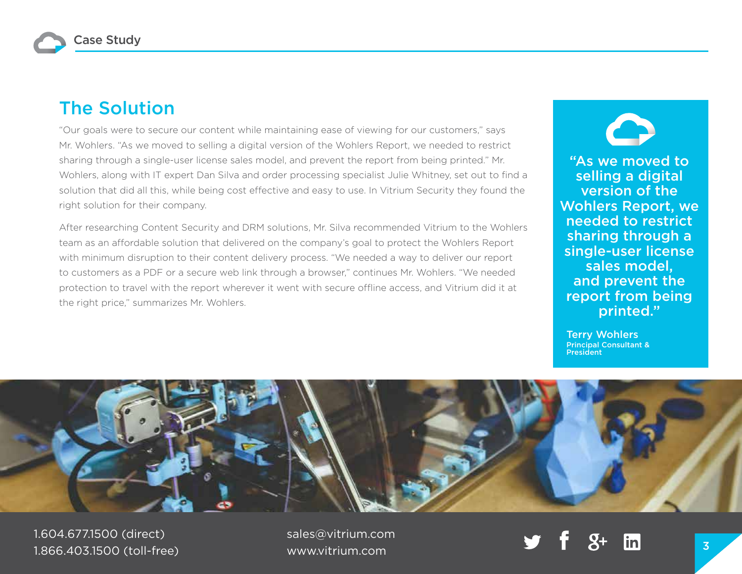## The Solution

"Our goals were to secure our content while maintaining ease of viewing for our customers," says Mr. Wohlers. "As we moved to selling a digital version of the Wohlers Report, we needed to restrict sharing through a single-user license sales model, and prevent the report from being printed." Mr. Wohlers, along with IT expert Dan Silva and order processing specialist Julie Whitney, set out to find a solution that did all this, while being cost effective and easy to use. In Vitrium Security they found the right solution for their company.

After researching Content Security and DRM solutions, Mr. Silva recommended Vitrium to the Wohlers team as an affordable solution that delivered on the company's goal to protect the Wohlers Report with minimum disruption to their content delivery process. "We needed a way to deliver our report to customers as a PDF or a secure web link through a browser," continues Mr. Wohlers. "We needed protection to travel with the report wherever it went with secure offline access, and Vitrium did it at the right price," summarizes Mr. Wohlers.

"As we moved to selling a digital version of the Wohlers Report, we needed to restrict sharing through a single-user license sales model, and prevent the report from being printed."

Terry Wohlers Principal Consultant & President



1.604.677.1500 (direct) 1.866.403.1500 (toll-free) [sales@vitrium.com](mailto:sales%40vitrium.com?subject=)